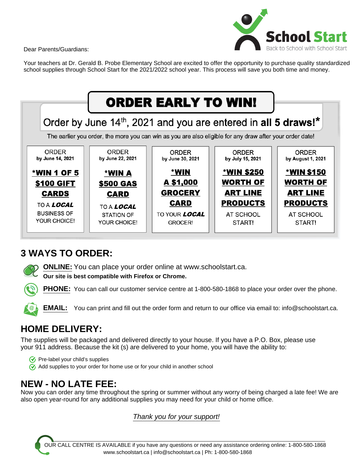Dear Parents/Guardians:



Your teachers at Dr. Gerald B. Probe Elementary School are excited to offer the opportunity to purchase quality standardized school supplies through School Start for the 2021/2022 school year. This process will save you both time and money.



# **3 WAYS TO ORDER:**

**ONLINE:** You can place your order online at www.schoolstart.ca.

**Our site is best compatible with Firefox or Chrome.**

**PHONE:** You can call our customer service centre at 1-800-580-1868 to place your order over the phone.

**EMAIL:** You can print and fill out the order form and return to our office via email to: info@schoolstart.ca.

# **HOME DELIVERY:**

The supplies will be packaged and delivered directly to your house. If you have a P.O. Box, please use your 911 address. Because the kit (s) are delivered to your home, you will have the ability to:

 $\sqrt{\sqrt{2}}$  Pre-label your child's supplies  $\gamma$  Add supplies to your order for home use or for your child in another school

# **NEW - NO LATE FEE:**

Now you can order any time throughout the spring or summer without any worry of being charged a late fee! We are also open year-round for any additional supplies you may need for your child or home office.

Thank you for your support!

OUR CALL CENTRE IS AVAILABLE if you have any questions or need any assistance ordering online: 1-800-580-1868 www.schoolstart.ca | info@schoolstart.ca | Ph: 1-800-580-1868